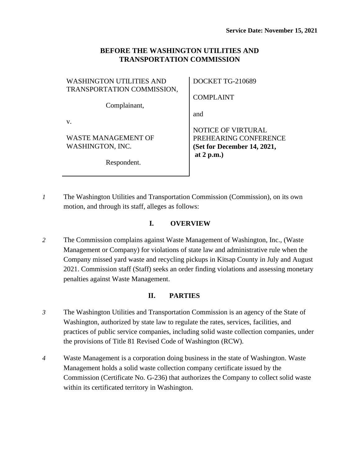## **BEFORE THE WASHINGTON UTILITIES AND TRANSPORTATION COMMISSION**

| <b>WASHINGTON UTILITIES AND</b><br>TRANSPORTATION COMMISSION, | <b>DOCKET TO</b> |
|---------------------------------------------------------------|------------------|
|                                                               | <b>COMPLAIN</b>  |
| Complainant,                                                  | and              |
|                                                               | NOTICE OF        |

WASTE MANAGEMENT OF WASHINGTON, INC.

Respondent.

G-210689

COMPLAINT

VIRTURAL PREHEARING CONFERENCE **(Set for December 14, 2021, at 2 p.m.)**

*1* The Washington Utilities and Transportation Commission (Commission), on its own motion, and through its staff, alleges as follows:

## **I. OVERVIEW**

*2* The Commission complains against Waste Management of Washington, Inc., (Waste Management or Company) for violations of state law and administrative rule when the Company missed yard waste and recycling pickups in Kitsap County in July and August 2021. Commission staff (Staff) seeks an order finding violations and assessing monetary penalties against Waste Management.

# **II. PARTIES**

- *3* The Washington Utilities and Transportation Commission is an agency of the State of Washington, authorized by state law to regulate the rates, services, facilities, and practices of public service companies, including solid waste collection companies, under the provisions of Title 81 Revised Code of Washington (RCW).
- *4* Waste Management is a corporation doing business in the state of Washington. Waste Management holds a solid waste collection company certificate issued by the Commission (Certificate No. G-236) that authorizes the Company to collect solid waste within its certificated territory in Washington.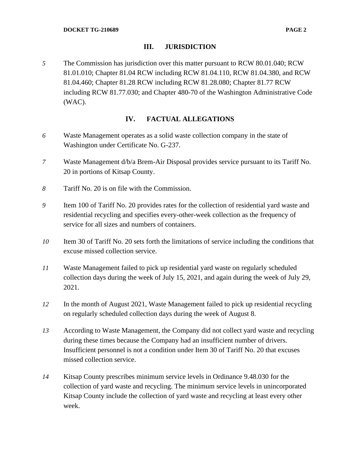## **III. JURISDICTION**

*5* The Commission has jurisdiction over this matter pursuant to RCW 80.01.040; RCW 81.01.010; Chapter 81.04 RCW including RCW 81.04.110, RCW 81.04.380, and RCW 81.04.460; Chapter 81.28 RCW including RCW 81.28.080; Chapter 81.77 RCW including RCW 81.77.030; and Chapter 480-70 of the Washington Administrative Code (WAC).

## **IV. FACTUAL ALLEGATIONS**

- *6* Waste Management operates as a solid waste collection company in the state of Washington under Certificate No. G-237.
- *7* Waste Management d/b/a Brem-Air Disposal provides service pursuant to its Tariff No. 20 in portions of Kitsap County.
- *8* Tariff No. 20 is on file with the Commission.
- *9* Item 100 of Tariff No. 20 provides rates for the collection of residential yard waste and residential recycling and specifies every-other-week collection as the frequency of service for all sizes and numbers of containers.
- *10* Item 30 of Tariff No. 20 sets forth the limitations of service including the conditions that excuse missed collection service.
- *11* Waste Management failed to pick up residential yard waste on regularly scheduled collection days during the week of July 15, 2021, and again during the week of July 29, 2021.
- *12* In the month of August 2021, Waste Management failed to pick up residential recycling on regularly scheduled collection days during the week of August 8.
- *13* According to Waste Management, the Company did not collect yard waste and recycling during these times because the Company had an insufficient number of drivers. Insufficient personnel is not a condition under Item 30 of Tariff No. 20 that excuses missed collection service.
- *14* Kitsap County prescribes minimum service levels in Ordinance 9.48.030 for the collection of yard waste and recycling. The minimum service levels in unincorporated Kitsap County include the collection of yard waste and recycling at least every other week.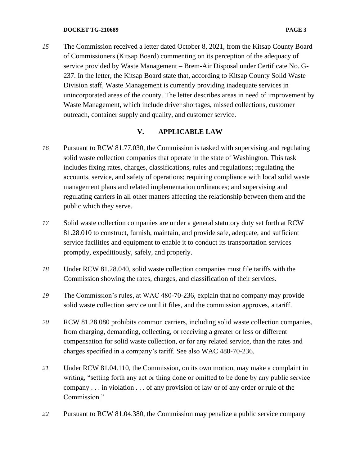#### **DOCKET TG-210689 PAGE 3**

*15* The Commission received a letter dated October 8, 2021, from the Kitsap County Board of Commissioners (Kitsap Board) commenting on its perception of the adequacy of service provided by Waste Management – Brem-Air Disposal under Certificate No. G-237. In the letter, the Kitsap Board state that, according to Kitsap County Solid Waste Division staff, Waste Management is currently providing inadequate services in unincorporated areas of the county. The letter describes areas in need of improvement by Waste Management, which include driver shortages, missed collections, customer outreach, container supply and quality, and customer service.

#### **V. APPLICABLE LAW**

- *16* Pursuant to RCW 81.77.030, the Commission is tasked with supervising and regulating solid waste collection companies that operate in the state of Washington. This task includes fixing rates, charges, classifications, rules and regulations; regulating the accounts, service, and safety of operations; requiring compliance with local solid waste management plans and related implementation ordinances; and supervising and regulating carriers in all other matters affecting the relationship between them and the public which they serve.
- *17* Solid waste collection companies are under a general statutory duty set forth at RCW 81.28.010 to construct, furnish, maintain, and provide safe, adequate, and sufficient service facilities and equipment to enable it to conduct its transportation services promptly, expeditiously, safely, and properly.
- *18* Under RCW 81.28.040, solid waste collection companies must file tariffs with the Commission showing the rates, charges, and classification of their services.
- *19* The Commission's rules, at WAC 480-70-236, explain that no company may provide solid waste collection service until it files, and the commission approves, a tariff.
- *20* RCW 81.28.080 prohibits common carriers, including solid waste collection companies, from charging, demanding, collecting, or receiving a greater or less or different compensation for solid waste collection, or for any related service, than the rates and charges specified in a company's tariff. See also WAC 480-70-236.
- *21* Under RCW 81.04.110, the Commission, on its own motion, may make a complaint in writing, "setting forth any act or thing done or omitted to be done by any public service company . . . in violation . . . of any provision of law or of any order or rule of the Commission."
- *22* Pursuant to RCW 81.04.380, the Commission may penalize a public service company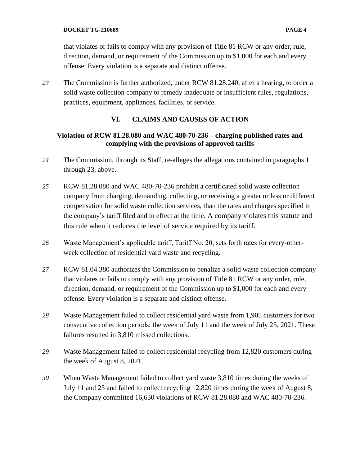that violates or fails to comply with any provision of Title 81 RCW or any order, rule, direction, demand, or requirement of the Commission up to \$1,000 for each and every offense. Every violation is a separate and distinct offense.

*23* The Commission is further authorized, under RCW 81.28.240, after a hearing, to order a solid waste collection company to remedy inadequate or insufficient rules, regulations, practices, equipment, appliances, facilities, or service.

# **VI. CLAIMS AND CAUSES OF ACTION**

## **Violation of RCW 81.28.080 and WAC 480-70-236 – charging published rates and complying with the provisions of approved tariffs**

- *24* The Commission, through its Staff, re-alleges the allegations contained in paragraphs 1 through 23, above.
- *25* RCW 81.28.080 and WAC 480-70-236 prohibit a certificated solid waste collection company from charging, demanding, collecting, or receiving a greater or less or different compensation for solid waste collection services, than the rates and charges specified in the company's tariff filed and in effect at the time. A company violates this statute and this rule when it reduces the level of service required by its tariff.
- *26* Waste Management's applicable tariff, Tariff No. 20, sets forth rates for every-otherweek collection of residential yard waste and recycling.
- *27* RCW 81.04.380 authorizes the Commission to penalize a solid waste collection company that violates or fails to comply with any provision of Title 81 RCW or any order, rule, direction, demand, or requirement of the Commission up to \$1,000 for each and every offense. Every violation is a separate and distinct offense.
- *28* Waste Management failed to collect residential yard waste from 1,905 customers for two consecutive collection periods: the week of July 11 and the week of July 25, 2021. These failures resulted in 3,810 missed collections.
- *29* Waste Management failed to collect residential recycling from 12,820 customers during the week of August 8, 2021.
- *30* When Waste Management failed to collect yard waste 3,810 times during the weeks of July 11 and 25 and failed to collect recycling 12,820 times during the week of August 8, the Company committed 16,630 violations of RCW 81.28.080 and WAC 480-70-236.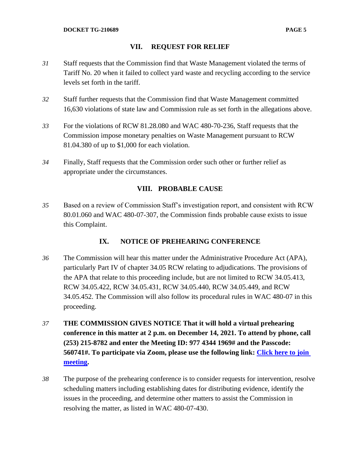## **VII. REQUEST FOR RELIEF**

- *31* Staff requests that the Commission find that Waste Management violated the terms of Tariff No. 20 when it failed to collect yard waste and recycling according to the service levels set forth in the tariff.
- *32* Staff further requests that the Commission find that Waste Management committed 16,630 violations of state law and Commission rule as set forth in the allegations above.
- *33* For the violations of RCW 81.28.080 and WAC 480-70-236, Staff requests that the Commission impose monetary penalties on Waste Management pursuant to RCW 81.04.380 of up to \$1,000 for each violation.
- *34* Finally, Staff requests that the Commission order such other or further relief as appropriate under the circumstances.

## **VIII. PROBABLE CAUSE**

*35* Based on a review of Commission Staff's investigation report, and consistent with RCW 80.01.060 and WAC 480-07-307, the Commission finds probable cause exists to issue this Complaint.

## **IX. NOTICE OF PREHEARING CONFERENCE**

- *36* The Commission will hear this matter under the Administrative Procedure Act (APA), particularly Part IV of chapter 34.05 RCW relating to adjudications. The provisions of the APA that relate to this proceeding include, but are not limited to RCW 34.05.413, RCW 34.05.422, RCW 34.05.431, RCW 34.05.440, RCW 34.05.449, and RCW 34.05.452. The Commission will also follow its procedural rules in WAC 480-07 in this proceeding.
- *37* **THE COMMISSION GIVES NOTICE That it will hold a virtual prehearing conference in this matter at 2 p.m. on December 14, 2021. To attend by phone, call (253) 215-8782 and enter the Meeting ID: 977 4344 1969# and the Passcode: 560741#. To participate via Zoom, please use the following link: [Click here to join](https://utc-wa-gov.zoom.us/j/97743441969?pwd=bHFyNUp1eFZwWEZrTUdvTW9BTy92QT09)  [meeting.](https://utc-wa-gov.zoom.us/j/97743441969?pwd=bHFyNUp1eFZwWEZrTUdvTW9BTy92QT09)**
- *38* The purpose of the prehearing conference is to consider requests for intervention, resolve scheduling matters including establishing dates for distributing evidence, identify the issues in the proceeding, and determine other matters to assist the Commission in resolving the matter, as listed in WAC 480-07-430.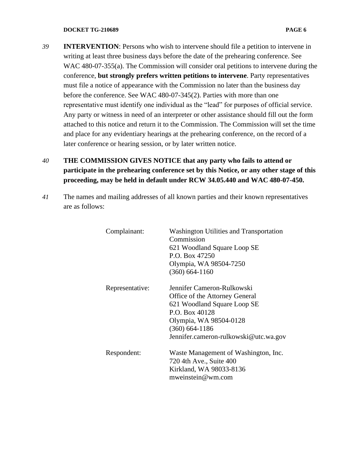#### **DOCKET TG-210689 PAGE 6**

- *39* **INTERVENTION**: Persons who wish to intervene should file a petition to intervene in writing at least three business days before the date of the prehearing conference. See WAC 480-07-355(a). The Commission will consider oral petitions to intervene during the conference, **but strongly prefers written petitions to intervene**. Party representatives must file a notice of appearance with the Commission no later than the business day before the conference. See WAC 480-07-345(2). Parties with more than one representative must identify one individual as the "lead" for purposes of official service. Any party or witness in need of an interpreter or other assistance should fill out the form attached to this notice and return it to the Commission. The Commission will set the time and place for any evidentiary hearings at the prehearing conference, on the record of a later conference or hearing session, or by later written notice.
- *40* **THE COMMISSION GIVES NOTICE that any party who fails to attend or participate in the prehearing conference set by this Notice, or any other stage of this proceeding, may be held in default under RCW 34.05.440 and WAC 480-07-450.**
- *41* The names and mailing addresses of all known parties and their known representatives are as follows:

| Complainant:    | <b>Washington Utilities and Transportation</b><br>Commission<br>621 Woodland Square Loop SE<br>P.O. Box 47250<br>Olympia, WA 98504-7250<br>$(360)$ 664-1160                                          |
|-----------------|------------------------------------------------------------------------------------------------------------------------------------------------------------------------------------------------------|
| Representative: | Jennifer Cameron-Rulkowski<br>Office of the Attorney General<br>621 Woodland Square Loop SE<br>P.O. Box 40128<br>Olympia, WA 98504-0128<br>$(360)$ 664-1186<br>Jennifer.cameron-rulkowski@utc.wa.gov |
| Respondent:     | Waste Management of Washington, Inc.<br>720 4th Ave., Suite 400<br>Kirkland, WA 98033-8136<br>mweinstein@wm.com                                                                                      |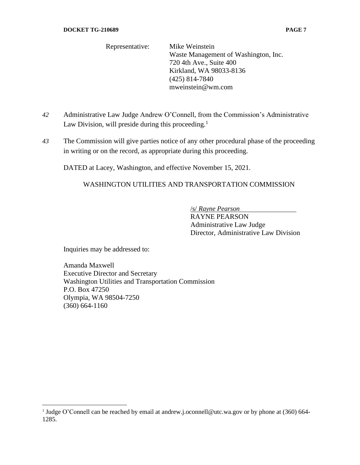Representative: Mike Weinstein Waste Management of Washington, Inc. 720 4th Ave., Suite 400 Kirkland, WA 98033-8136 (425) 814-7840 mweinstein@wm.com

- *42* Administrative Law Judge Andrew O'Connell, from the Commission's Administrative Law Division, will preside during this proceeding.<sup>1</sup>
- *43* The Commission will give parties notice of any other procedural phase of the proceeding in writing or on the record, as appropriate during this proceeding.

DATED at Lacey, Washington, and effective November 15, 2021.

## WASHINGTON UTILITIES AND TRANSPORTATION COMMISSION

/s/ *Rayne Pearson*

RAYNE PEARSON Administrative Law Judge Director, Administrative Law Division

Inquiries may be addressed to:

Amanda Maxwell Executive Director and Secretary Washington Utilities and Transportation Commission P.O. Box 47250 Olympia, WA 98504-7250 (360) 664-1160

<sup>&</sup>lt;sup>1</sup> Judge O'Connell can be reached by email at andrew.j.oconnell@utc.wa.gov or by phone at (360) 664-1285.